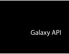# Galaxy API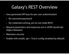### Galaxy's REST Overview

- Uses generated API keys for per-user authentication
	- No username/password
	- No credential caching, yet (so not really REST)
- Request parameters and responses are in JSON (JavaScript Object Notation)
- Maintains security
- Enable with enable\_api = True in config (enabled by default)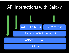### API Interactions with Galaxy



Galaxy's REST API

Galaxy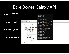### Bare Bones Galaxy API

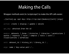# Making the Calls

Wrapper methods exist (in /scripts/api/) to make the API calls easier:

./{action}.py <api key> http://<ip>/api/{module}/[unit] [args]

action: create | display | update | delete

api\_key: obtained from the UI

module: datasets | forms | histories | libraries | permissions | quotas | requests | roles | samples | tools | users | visualizations / workflows

unit: dataset\_id / history\_id / Library\_id / ...

args: name / key-value pair / ...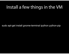### Install a few things in the VM

sudo apt-get install gnome-terminal ipython python-pip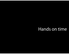### Hands on time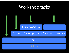### Workshop tasks



**Galaxy**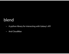### blend

- A python library for interacting with Galaxy's API
- And CloudMan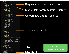v blend/  $\bullet$  bcc/ init .py v cloudman/ init .py launch.py v galaxy/ v datasets/ init  $. **p**$ \* histories/ init .py  $\overline{ }$  libraries/ init .py v users/ init .py v workflows/ init .py init .py client.py \_init\_\_\_.py config.py build/ dist/ docs/  $\rightarrow$  build/ > \_static/ templates/ api docs/  $*$  examples/ biocloudcentral basic us cloudman\_basic\_usage\_sce example1.py galaxy-upload\_to\_workflo conf.py index.rst Makefile Test v tests/ \_init\_\_.py bcc\_tests.py cloudman\_tests.py **Distribute README.rst** setup.py

Request compute infrastructure

Manipulate compute infrastructure

Upload data and run analyses

### Docs and examples

Automate repetitive tasks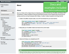Docs and

examples included

http://blend.readthedocs.org/

**Project Versions** latest

#### **RTD Search**

| Full-text doc search. |  |
|-----------------------|--|

#### **Table Of Contents**

**Blend** 

- About
- Installation
- **Usage**
- Development
- **API Documentation**
- **BioCloudCentral.org AP CloudMan API** 
	- **Galaxy API**
- **Testing**
- **Getting help**
- Indices and tables

#### **Next topic**

API documentation for interacti

#### **This Page**

**Show Source** 

#### **Blend**

#### **About**

Blend is a Python (2.6 or higher) library for interacting with BioCloudCentral.org, CloudMan, and Galaxy's API. Conceptually, it makes it possible to script and automate the process of cloud infrastrucutre provisioning and scaling, as well as running of analyses within Galaxy. In reality, it makes it possible to do things like this:

• Create a CloudMan compute cluster, via an API and directly from your local machine:

```
from blend.cloudman.launch import CloudManLaunch
cml = CloudManLaunch('<your cloud access key>', '<your cloud secret key')
cml.launch('Blend CloudMan', 'ami-<ID>', 'm1.small', 'password')
cml.get_status()
```
• Manipulate your CloudMan instance and react to the current needs:

```
from blend.cloudman import CloudMan
cm = CloudMan("instance IP", "password")
cm.initialize(type="Galaxy")
cm.add nodes(3)cluster_status = cm.get_status()
cm. remove nodes(2)
```
• Interact with Galaxy via a straighforward API:

```
from blend.galaxy import GalaxyInstance
gi = GalaxyInstance('<Galaxy IP>', key='your API key')
libs = gi.libraries.get libraries()
gi.workflows.show_workflow('workflow ID')
gi.workflows.run workflow('workflow ID', input dataset map)
```
#### **Note**

Although this library allows you to blend these three services into a cohesive unit, the library itself can be used with

and stants souther businesslips of the usef. For avaients, during use the book monted to a Christian studence of the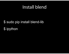### Install blend

# \$ sudo pip install blend-lib \$ipython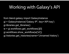### Working with Galaxy's API

from blend.galaxy import GalaxyInstance gi = GalaxyInstance('Galaxy IP', key='API key') gi.libraries.get\_libraries() w = gi.workflows.get\_workflows()[0] gi.workflows.show\_workflow(w['id']) gi.histories.get\_histories(name='Unnamed history')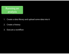### Running an analysis

- 1. Create a data library and upload some data into it
- 2. Create a history
- 3. Execute a workflow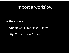### Import a workflow

Use the Galaxy UI:

Workflows -> Import Workflow

http://tinyurl.com/gcc-wf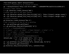```
from blend.galaxy import GalaxyInstance
# Define a connection to an instane of Galaxy
gi = GalaxyInstance('http://127.0.0.1:8085', 'c18666899798c5ad233c511cd2d66c2d')
# Create a data library
l = gi.libraries.create library('WSG')# Uload some data to the data library
d1 = gi.libraries.upload file from url(l[0]['id'], 'http://tinyurl.com/gcc-exons')d2 = gi.libraries.upload file from url(l[0]['id'], 'http://tinyurl.com/gcc-snps')# Create a history
gi.histories.create history('Run 6')
# Get information on how to run a workflow
ws = gi.workflows.get workflows()w = gi. workflows.show workflow(ws[0]['id'])
#	
  {u'id':	
  u'93ab6bbd094e1dcd',	

# u'inputs': {u'1': {u'label': u'Input Dataset', u'value': u''},
# u'3': {u'label': u'Input Dataset', u'value': u''}},
# u'name': u'Demo workflow',
# u'url': u'/api/workflows/93ab6bbd094e1dcd'}
dataset map = \{ '1': \{ 'id': d1[0] [ 'id' ], \ 'src': 'ld' \}, \}'3': \{ 'id': d2[0] [ 'id'] , 'src': 'ld' \} \}wr = gi. workflows. run workflow(w['id'], dataset map, h['id'])hl = gi.histories.get histories()
gi.histories.show history(hl[0]['id'], contents=True)
```